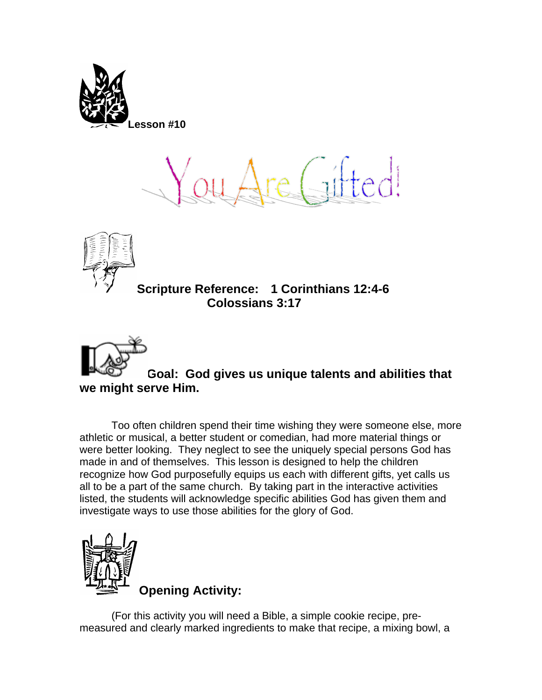

 $[$ hedi



**Scripture Reference: 1 Corinthians 12:4-6 Colossians 3:17** 



**Goal: God gives us unique talents and abilities that we might serve Him.**

Too often children spend their time wishing they were someone else, more athletic or musical, a better student or comedian, had more material things or were better looking. They neglect to see the uniquely special persons God has made in and of themselves. This lesson is designed to help the children recognize how God purposefully equips us each with different gifts, yet calls us all to be a part of the same church. By taking part in the interactive activities listed, the students will acknowledge specific abilities God has given them and investigate ways to use those abilities for the glory of God.



(For this activity you will need a Bible, a simple cookie recipe, premeasured and clearly marked ingredients to make that recipe, a mixing bowl, a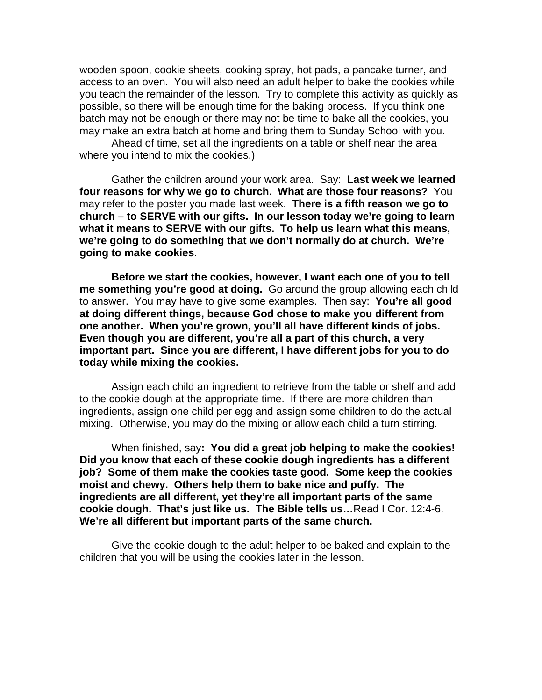wooden spoon, cookie sheets, cooking spray, hot pads, a pancake turner, and access to an oven. You will also need an adult helper to bake the cookies while you teach the remainder of the lesson. Try to complete this activity as quickly as possible, so there will be enough time for the baking process. If you think one batch may not be enough or there may not be time to bake all the cookies, you may make an extra batch at home and bring them to Sunday School with you.

 Ahead of time, set all the ingredients on a table or shelf near the area where you intend to mix the cookies.)

 Gather the children around your work area. Say: **Last week we learned four reasons for why we go to church. What are those four reasons?** You may refer to the poster you made last week. **There is a fifth reason we go to church – to SERVE with our gifts. In our lesson today we're going to learn what it means to SERVE with our gifts. To help us learn what this means, we're going to do something that we don't normally do at church. We're going to make cookies**.

**Before we start the cookies, however, I want each one of you to tell me something you're good at doing.** Go around the group allowing each child to answer. You may have to give some examples. Then say: **You're all good at doing different things, because God chose to make you different from one another. When you're grown, you'll all have different kinds of jobs. Even though you are different, you're all a part of this church, a very important part. Since you are different, I have different jobs for you to do today while mixing the cookies.** 

 Assign each child an ingredient to retrieve from the table or shelf and add to the cookie dough at the appropriate time. If there are more children than ingredients, assign one child per egg and assign some children to do the actual mixing. Otherwise, you may do the mixing or allow each child a turn stirring.

 When finished, say**: You did a great job helping to make the cookies! Did you know that each of these cookie dough ingredients has a different job? Some of them make the cookies taste good. Some keep the cookies moist and chewy. Others help them to bake nice and puffy. The ingredients are all different, yet they're all important parts of the same cookie dough. That's just like us. The Bible tells us…**Read I Cor. 12:4-6. **We're all different but important parts of the same church.** 

 Give the cookie dough to the adult helper to be baked and explain to the children that you will be using the cookies later in the lesson.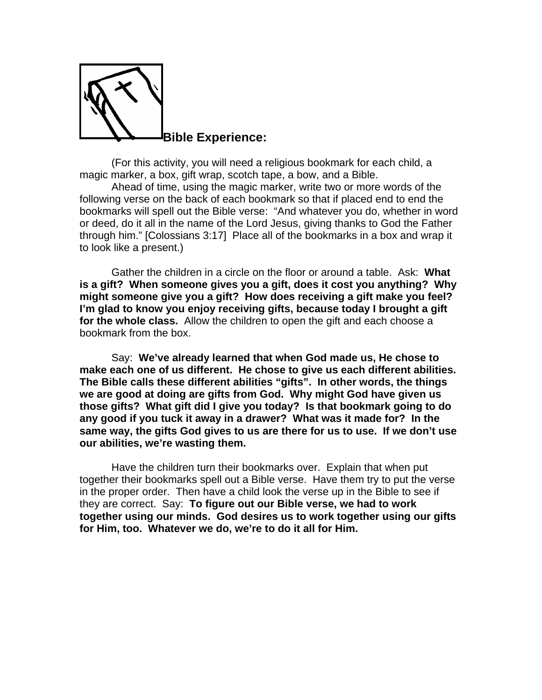

(For this activity, you will need a religious bookmark for each child, a magic marker, a box, gift wrap, scotch tape, a bow, and a Bible.

Ahead of time, using the magic marker, write two or more words of the following verse on the back of each bookmark so that if placed end to end the bookmarks will spell out the Bible verse: "And whatever you do, whether in word or deed, do it all in the name of the Lord Jesus, giving thanks to God the Father through him." [Colossians 3:17] Place all of the bookmarks in a box and wrap it to look like a present.)

Gather the children in a circle on the floor or around a table. Ask: **What is a gift? When someone gives you a gift, does it cost you anything? Why might someone give you a gift? How does receiving a gift make you feel? I'm glad to know you enjoy receiving gifts, because today I brought a gift for the whole class.** Allow the children to open the gift and each choose a bookmark from the box.

 Say: **We've already learned that when God made us, He chose to make each one of us different. He chose to give us each different abilities. The Bible calls these different abilities "gifts". In other words, the things we are good at doing are gifts from God. Why might God have given us those gifts? What gift did I give you today? Is that bookmark going to do any good if you tuck it away in a drawer? What was it made for? In the same way, the gifts God gives to us are there for us to use. If we don't use our abilities, we're wasting them.** 

Have the children turn their bookmarks over. Explain that when put together their bookmarks spell out a Bible verse. Have them try to put the verse in the proper order. Then have a child look the verse up in the Bible to see if they are correct. Say: **To figure out our Bible verse, we had to work together using our minds. God desires us to work together using our gifts for Him, too. Whatever we do, we're to do it all for Him.**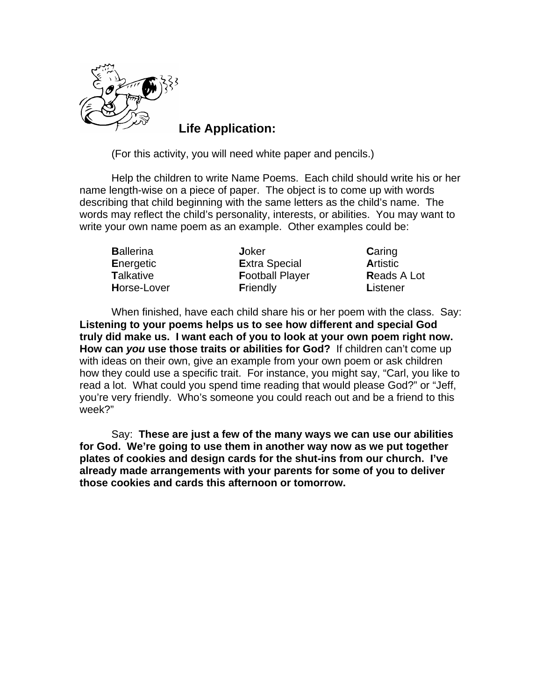

**Life Application:** 

(For this activity, you will need white paper and pencils.)

Help the children to write Name Poems. Each child should write his or her name length-wise on a piece of paper. The object is to come up with words describing that child beginning with the same letters as the child's name. The words may reflect the child's personality, interests, or abilities. You may want to write your own name poem as an example. Other examples could be:

**B**allerina **J**oker **C**aring **E**nergetic **E**xtra Special **A**rtistic **T**alkative **F**ootball Player **R**eads A Lot **H**orse-Lover **F**riendly **L**istener

When finished, have each child share his or her poem with the class. Say: **Listening to your poems helps us to see how different and special God truly did make us. I want each of you to look at your own poem right now. How can** *you* **use those traits or abilities for God?** If children can't come up with ideas on their own, give an example from your own poem or ask children how they could use a specific trait. For instance, you might say, "Carl, you like to read a lot. What could you spend time reading that would please God?" or "Jeff, you're very friendly. Who's someone you could reach out and be a friend to this week?"

 Say: **These are just a few of the many ways we can use our abilities for God. We're going to use them in another way now as we put together plates of cookies and design cards for the shut-ins from our church. I've already made arrangements with your parents for some of you to deliver those cookies and cards this afternoon or tomorrow.**